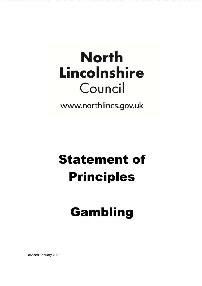## **North** Lincolnshire Council

www.northlincs.gov.uk

# Statement of Principles

## Gambling

Revised January 2022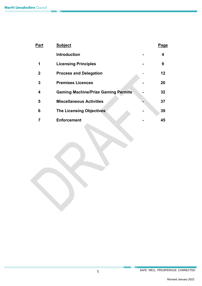| Part | <b>Subject</b>                             | <u>Page</u> |
|------|--------------------------------------------|-------------|
|      | <b>Introduction</b>                        | 4           |
| 1    | <b>Licensing Principles</b>                | 9           |
| 2    | <b>Process and Delegation</b>              | 12          |
| 3    | <b>Premises Licences</b>                   | 20          |
| 4    | <b>Gaming Machine/Prize Gaming Permits</b> | 32          |
| 5    | <b>Miscellaneous Activities</b>            | 37          |
| 6    | <b>The Licensing Objectives</b>            | 39          |
|      | <b>Enforcement</b>                         | 45          |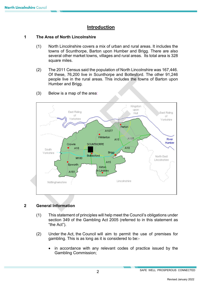## **Introduction**

#### **1 The Area of North Lincolnshire**

- (1) North Lincolnshire covers a mix of urban and rural areas. It includes the towns of Scunthorpe, Barton upon Humber and Brigg. There are also several other market towns, villages and rural areas. Its total area is 328 square miles.
- (2) The 2011 Census said the population of North Lincolnshire was 167,446. Of these, 76,200 live in Scunthorpe and Bottesford. The other 91,246 people live in the rural areas. This includes the towns of Barton upon Humber and Brigg.



(3) Below is a map of the area:

#### **2 General Information**

- (1) This statement of principles will help meet the Council's obligations under section 349 of the Gambling Act 2005 (referred to in this statement as "the Act").
- (2) Under the Act, the Council will aim to permit the use of premises for gambling. This is as long as it is considered to be:
	- in accordance with any relevant codes of practice issued by the Gambling Commission;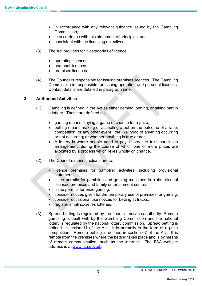- in accordance with any relevant guidance issued by the Gambling Commission;
- in accordance with this statement of principles; and
- consistent with the licensing objectives.
- (3) The Act provides for 3 categories of licence:
	- operating licences
	- personal licences
	- premises licences
- (4) The Council is responsible for issuing premises licences. The Gambling Commission is responsible for issuing operating and personal licences. Contact details are detailed in paragraph nine.

#### **3 Authorised Activities**

- (1) Gambling is defined in the Act as either gaming, betting, or taking part in a lottery. These are defined as:
	- gaming means playing a game of chance for a prize;
	- betting means making or accepting a bet on the outcome of a race, competition, or any other event ; the likelihood of anything occurring or not occurring; or whether anything is true or not;
	- A lottery is where people need to pay in order to take part in an arrangement, during the course of which one or more prizes are allocated by a process which relies wholly on chance.
- (2) The Council's main functions are to:
	- licence premises for gambling activities, including provisional statements;
	- issue permits for gambling and gaming machines in clubs, alcohol licensed premises and family entertainment centres;
	- issue permits for prize gaming;
	- consider notices given for the temporary use of premises for gaming;
	- consider occasional use notices for betting at tracks;
	- register small societies lotteries;
- (3) Spread betting is regulated by the financial services authority. Remote gambling is dealt with by the Gambling Commission and the national lottery is regulated by the national lottery commission. Spread betting is defined in section 11 of the Act. It is normally in the form of a prize competition. Remote betting is defined in section 67 of the Act. It is remote from the premises where the betting takes place and is by means of remote communication, such as the internet. The FSA website address is at www.fsa.gov.uk.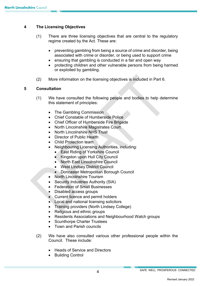#### **4 The Licensing Objectives**

- (1) There are three licensing objectives that are central to the regulatory regime created by the Act. These are:
	- preventing gambling from being a source of crime and disorder, being associated with crime or disorder, or being used to support crime
	- ensuring that gambling is conducted in a fair and open way
	- protecting children and other vulnerable persons from being harmed or exploited by gambling.
- (2) More information on the licensing objectives is included in Part 6.

#### **5 Consultation**

- (1) We have consulted the following people and bodies to help determine this statement of principles:
	- The Gambling Commission
	- Chief Constable of Humberside Police
	- Chief Officer of Humberside Fire Brigade
	- North Lincolnshire Magistrates Court
	- North Lincolnshire NHS Trust
	- Director of Public Health
	- Child Protection team
	- Neighbouring Licensing Authorities, including:
		- East Riding of Yorkshire Council
		- Kingston upon Hull City Council
		- North East Lincolnshire Council
		- West Lindsey District Council
		- Doncaster Metropolitan Borough Council
	- North Lincolnshire Tourism
	- Security Industries Authority (SIA)
	- Federation of Small Businesses
	- Disabled access groups
	- Current licence and permit holders
	- Local and national licensing solicitors
	- Training providers (North Lindsey College)
	- Religious and ethnic groups
	- Residents Associations and Neighbourhood Watch groups
	- Scunthorpe Charter Trustees
	- Town and Parish councils
- (2) We have also consulted various other professional people within the Council. These include:
	- Heads of Service and Directors
	- Building Control

Revised January 2022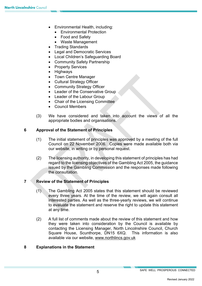- Environmental Health, including:
	- Environmental Protection
	- Food and Safety
	- Waste Management
- Trading Standards
- Legal and Democratic Services
- Local Children's Safeguarding Board
- Community Safety Partnership
- Property Services
- Highways
- Town Centre Manager
- Cultural Strategy Officer
- Community Strategy Officer
- Leader of the Conservative Group
- Leader of the Labour Group
- Chair of the Licensing Committee
- Council Members
- (3) We have considered and taken into account the views of all the appropriate bodies and organisations.

#### **6 Approval of the Statement of Principles**

- (1) The initial statement of principles was approved by a meeting of the full Council on 22 November 2006. Copies were made available both via our website, in writing or by personal request.
- (2) The licensing authority, in developing this statement of principles has had regard to the licensing objectives of the Gambling Act 2005, the guidance issued by the Gambling Commission and the responses made following the consultation.

#### **7 Review of the Statement of Principles**

- (1) The Gambling Act 2005 states that this statement should be reviewed every three years. At the time of the review, we will again consult all interested parties. As well as the three-yearly reviews, we will continue to evaluate the statement and reserve the right to update this statement at any time.
- (2) A full list of comments made about the review of this statement and how they were taken into consideration by the Council is available by contacting the Licensing Manager, North Lincolnshire Council, Church Square House, Scunthorpe, DN15 6XQ. This information is also available via our website, [www.northlincs.gov.uk](http://www.northlincs.gov.uk/)

#### **8 Explanations in the Statement**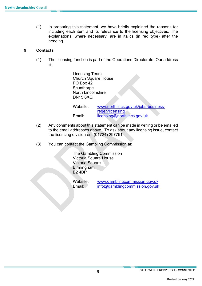(1) In preparing this statement, we have briefly explained the reasons for including each item and its relevance to the licensing objectives. The explanations, where necessary, are in italics (in red type) after the heading.

#### **9 Contacts**

(1) The licensing function is part of the Operations Directorate. Our address is:

> Licensing Team Church Square House PO Box 42 **Scunthorpe** North Lincolnshire DN15 6XQ

| Website: | www.northlincs.gov.uk/jobs-business- |
|----------|--------------------------------------|
|          | regen/licensing                      |
| Email:   | licensing@northlincs.gov.uk          |

- (2) Any comments about this statement can be made in writing or be emailed to the email addresses above. To ask about any licensing issue, contact the licensing division on: (01724) 297751.
- (3) You can contact the Gambling Commission at:

The Gambling Commission Victoria Square House Victoria Square Birmingham B2 4BP

Website: [www.gamblingcommission.gov.uk](http://www.gamblingcommission.gov.uk/) Email: [info@gamblingc](mailto:info@gambling)ommission.gov.uk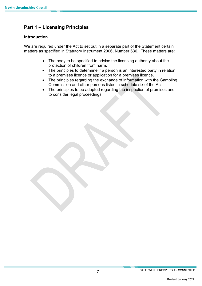## **Part 1 – Licensing Principles**

#### **Introduction**

We are required under the Act to set out in a separate part of the Statement certain matters as specified in Statutory Instrument 2006, Number 636. These matters are:

- The body to be specified to advise the licensing authority about the protection of children from harm.
- The principles to determine if a person is an interested party in relation to a premises licence or application for a premises licence.
- The principles regarding the exchange of information with the Gambling Commission and other persons listed in schedule six of the Act.
- The principles to be adopted regarding the inspection of premises and to consider legal proceedings.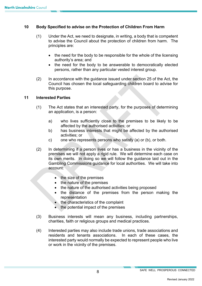#### **10 Body Specified to advise on the Protection of Children From Harm**

- (1) Under the Act, we need to designate, in writing, a body that is competent to advise the Council about the protection of children from harm. The principles are:
	- the need for the body to be responsible for the whole of the licensing authority's area; and
	- the need for the body to be answerable to democratically elected persons, rather than any particular vested interest group.
- (2) In accordance with the guidance issued under section 25 of the Act, the Council has chosen the local safeguarding children board to advise for this purpose.

#### **11 Interested Parties**

- (1) The Act states that an interested party, for the purposes of determining an application, is a person:
	- a) who lives sufficiently close to the premises to be likely to be affected by the authorised activities; or
	- b) has business interests that might be affected by the authorised activities; or
	- c) one who represents persons who satisfy (a) or (b), or both.
- (2) In determining if a person lives or has a business in the vicinity of the premises we will not apply a rigid rule. We will determine each case on its own merits. In doing so we will follow the guidance laid out in the Gambling Commissions guidance for local authorities. We will take into account:
	- the size of the premises
	- the nature of the premises
	- the nature of the authorised activities being proposed
	- the distance of the premises from the person making the representation
	- the characteristics of the complaint
	- the potential impact of the premises
- (3) Business interests will mean any business, including partnerships, charities, faith or religious groups and medical practices.
- (4) Interested parties may also include trade unions, trade associations and residents and tenants associations. In each of these cases, the interested party would normally be expected to represent people who live or work in the vicinity of the premises.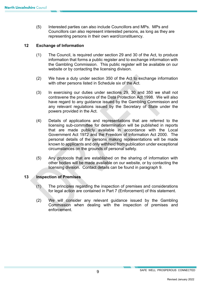(5) Interested parties can also include Councillors and MPs. MPs and Councillors can also represent interested persons, as long as they are representing persons in their own ward/constituency.

#### **12 Exchange of Information**

- (1) The Council, is required under section 29 and 30 of the Act, to produce information that forms a public register and to exchange information with the Gambling Commission. This public register will be available on our website or by contacting the licensing division.
- (2) We have a duty under section 350 of the Act to exchange information with other persons listed in Schedule six of the Act.
- (3) In exercising our duties under sections 29, 30 and 350 we shall not contravene the provisions of the Data Protection Act 1998. We will also have regard to any guidance issued by the Gambling Commission and any relevant regulations issued by the Secretary of State under the powers provided in the Act.
- (4) Details of applications and representations that are referred to the licensing sub-committee for determination will be published in reports that are made publicly available in accordance with the Local Government Act 1972 and the Freedom of Information Act 2000. The personal details of the persons making representations will be made known to applicants and only withheld from publication under exceptional circumstances on the grounds of personal safety.
- (5) Any protocols that are established on the sharing of information with other bodies will be made available on our website, or by contacting the licensing division. Contact details can be found in paragraph 9.

#### **13 Inspection of Premises**

- (1) The principles regarding the inspection of premises and considerations for legal action are contained in Part 7 (Enforcement) of this statement.
- (2) We will consider any relevant guidance issued by the Gambling Commission when dealing with the inspection of premises and enforcement.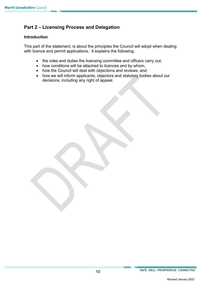## **Part 2 – Licensing Process and Delegation**

#### **Introduction**

This part of the statement, is about the principles the Council will adopt when dealing with licence and permit applications. It explains the following:

- the roles and duties the licensing committee and officers carry out,
- how conditions will be attached to licences and by whom,
- how the Council will deal with objections and reviews, and
- how we will inform applicants, objectors and statutory bodies about our decisions, including any right of appeal.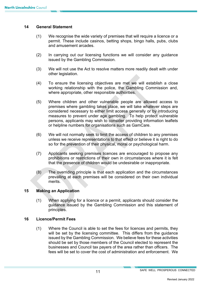#### **14 General Statement**

- (1) We recognise the wide variety of premises that will require a licence or a permit. These include casinos, betting shops, bingo halls, pubs, clubs and amusement arcades.
- (2) In carrying out our licensing functions we will consider any guidance issued by the Gambling Commission.
- (3) We will not use the Act to resolve matters more readily dealt with under other legislation.
- (4) To ensure the licensing objectives are met we will establish a close working relationship with the police, the Gambling Commission and, where appropriate, other responsible authorities.
- (5) Where children and other vulnerable people are allowed access to premises where gambling takes place, we will take whatever steps are considered necessary to either limit access generally or by introducing measures to prevent under age gambling. To help protect vulnerable persons, applicants may wish to consider providing information leaflets or helpline numbers for organisations such as GamCare.
- (6) We will not normally seek to limit the access of children to any premises unless we receive representations to that effect or believe it is right to do so for the prevention of their physical, moral or psychological harm.
- (7) Applicants seeking premises licences are encouraged to propose any prohibitions or restrictions of their own in circumstances where it is felt that the presence of children would be undesirable or inappropriate.
- (8) The overriding principle is that each application and the circumstances prevailing at each premises will be considered on their own individual merits.

#### **15 Making an Application**

(1) When applying for a licence or a permit, applicants should consider the guidance issued by the Gambling Commission and this statement of principles.

#### **16 Licence/Permit Fees**

(1) Where the Council is able to set the fees for licences and permits, they will be set by the licensing committee. This differs from the guidance issued by the Gambling Commission. We believe fees for these activities should be set by those members of the Council elected to represent the businesses and Council tax payers of the area rather than officers. The fees will be set to cover the cost of administration and enforcement. We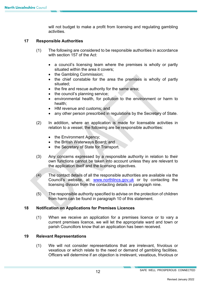will not budget to make a profit from licensing and regulating gambling activities.

#### **17 Responsible Authorities**

- (1) The following are considered to be responsible authorities in accordance with section 157 of the Act:
	- a council's licensing team where the premises is wholly or partly situated within the area it covers;
	- the Gambling Commission;
	- the chief constable for the area the premises is wholly of partly situated;
	- the fire and rescue authority for the same area;
	- the council's planning service;
	- environmental health, for pollution to the environment or harm to health;
	- HM revenue and customs; and
	- any other person prescribed in regulations by the Secretary of State.
- (2) In addition, where an application is made for licensable activities in relation to a vessel, the following are be responsible authorities:
	- the Environment Agency;
	- the British Waterways Board; and
	- the Secretary of State for Transport.
- (3) Any concerns expressed by a responsible authority in relation to their own functions cannot be taken into account unless they are relevant to the application itself and the licensing objectives.
- (4) The contact details of all the responsible authorities are available via the Council's website, at: [www.northlincs.gov.uk](http://www.northlincs.gov.uk/) or by contacting the licensing division from the contacting details in paragraph nine.
- (5) The responsible authority specified to advise on the protection of children from harm can be found in paragraph 10 of this statement.

#### **18 Notification on Applications for Premises Licences**

(1) When we receive an application for a premises licence or to vary a current premises licence, we will let the appropriate ward and town or parish Councillors know that an application has been received.

#### **19 Relevant Representations**

(1) We will not consider representations that are irrelevant, frivolous or vexatious or which relate to the need or demand of gambling facilities. Officers will determine if an objection is irrelevant, vexatious, frivolous or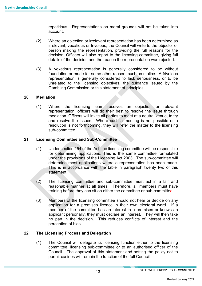repetitious. Representations on moral grounds will not be taken into account.

- (2) Where an objection or irrelevant representation has been determined as irrelevant, vexatious or frivolous, the Council will write to the objector or person making the representation, providing the full reasons for the decision. Officers will also report to the licensing committee, giving full details of the decision and the reason the representation was rejected.
- (3) A vexatious representation is generally considered to be without foundation or made for some other reason, such as malice. A frivolous representation is generally considered to lack seriousness, or to be unrelated to the licensing objectives, the guidance issued by the Gambling Commission or this statement of principles.

#### **20 Mediation**

(1) Where the licensing team receives an objection or relevant representation, officers will do their best to resolve the issue through mediation. Officers will invite all parties to meet at a neutral venue, to try and resolve the issues. Where such a meeting is not possible or a resolution is not forthcoming, they will refer the matter to the licensing sub-committee.

#### **21 Licensing Committee and Sub-Committee**

- (1) Under section 154 of the Act, the licensing committee will be responsible for determining applications. This is the same committee formulated under the provisions of the Licensing Act 2003. The sub-committee will determine most applications where a representation has been made. This is in accordance with the table in paragraph twenty two of this statement.
- (2) The licensing committee and sub-committee must act in a fair and reasonable manner at all times. Therefore, all members must have training before they can sit on either the committee or sub-committee.
- (3) Members of the licensing committee should not hear or decide on any application for a premises licence in their own electoral ward. If a member of the committee has an interest in a premises or knows an applicant personally, they must declare an interest. They will then take no part in the decision. This reduces conflicts of interest and the perception of bias.

#### **22 The Licensing Process and Delegation**

(1) The Council will delegate its licensing function either to the licensing committee, licensing sub-committee or to an authorised officer of the Council. The approval of this statement and setting the policy not to permit casinos will remain the function of the full Council.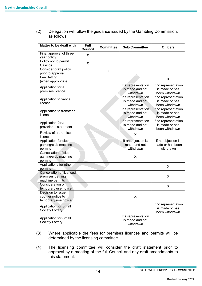| Matter to be dealt with                                               | Full<br><b>Council</b> | <b>Committee</b> | <b>Sub-Committee</b>                                | <b>Officers</b>                                          |
|-----------------------------------------------------------------------|------------------------|------------------|-----------------------------------------------------|----------------------------------------------------------|
| Final approval of three<br>year policy                                | X                      |                  |                                                     |                                                          |
| Policy not to permit<br>Casinos                                       | X                      |                  |                                                     |                                                          |
| Consider draft policy<br>prior to approval                            |                        | X                |                                                     |                                                          |
| Fee Setting<br>(when appropriate)                                     |                        |                  |                                                     | X                                                        |
| Application for a<br>premises licence                                 |                        |                  | If a representation<br>is made and not<br>withdrawn | If no representation<br>is made or has<br>been withdrawn |
| Application to vary a<br>licence                                      |                        |                  | If a representation<br>is made and not<br>withdrawn | If no representation<br>is made or has<br>been withdrawn |
| Application to transfer a<br>licence                                  |                        |                  | If a representation<br>is made and not<br>withdrawn | If no representation<br>is made or has<br>been withdrawn |
| Application for a<br>provisional statement                            |                        |                  | If a representation<br>is made and not<br>withdrawn | If no representation<br>is made or has<br>been withdrawn |
| Review of a premises<br>licence                                       |                        |                  | X                                                   |                                                          |
| Application for club<br>gaming/club machine<br>permits                |                        |                  | If an objection is<br>made and not<br>withdrawn     | If no objection is<br>made or has been<br>withdrawn      |
| Cancellation of club<br>gaming/club machine<br>permits                |                        |                  | X                                                   |                                                          |
| Applications for other<br>permits                                     |                        |                  |                                                     | X                                                        |
| <b>Cancellation of licensed</b><br>premises gaming<br>machine permits |                        |                  |                                                     | X                                                        |
| Consideration of<br>temporary use notice                              |                        |                  |                                                     | X                                                        |
| Decision to issue<br>counter notice to<br>temporary use notice        |                        |                  | Χ                                                   |                                                          |
| <b>Application for Small</b><br>Society Lottery                       |                        |                  |                                                     | If no representation<br>is made or has<br>been withdrawn |
| <b>Application for Small</b><br>Society Lottery                       |                        |                  | If a representation<br>is made and not<br>withdrawn |                                                          |

(2) Delegation will follow the guidance issued by the Gambling Commission, as follows:

- (3) Where applicable the fees for premises licences and permits will be determined by the licensing committee.
- (4) The licensing committee will consider the draft statement prior to approval by a meeting of the full Council and any draft amendments to this statement.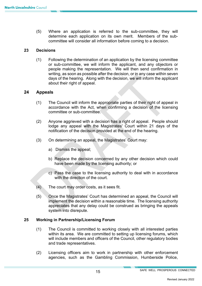(5) Where an application is referred to the sub-committee, they will determine each application on its own merit. Members of the subcommittee will consider all information before coming to a decision.

#### **23 Decisions**

(1) Following the determination of an application by the licensing committee or sub-committee, we will inform the applicant, and any objectors or people making the representation. We will then send confirmation in writing, as soon as possible after the decision, or in any case within seven days of the hearing. Along with the decision, we will inform the applicant about their right of appeal.

#### **24 Appeals**

- (1) The Council will inform the appropriate parties of their right of appeal in accordance with the Act, when confirming a decision of the licensing committee or sub-committee.
- (2) Anyone aggrieved with a decision has a right of appeal. People should lodge any appeal with the Magistrates' Court within 21 days of the notification of the decision provided at the end of the hearing.
- (3) On determining an appeal, the Magistrates' Court may:
	- a) Dismiss the appeal;
	- b) Replace the decision concerned by any other decision which could have been made by the licensing authority; or
	- c) Pass the case to the licensing authority to deal with in accordance with the direction of the court.
- (4) The court may order costs, as it sees fit.
- (5) Once the Magistrates' Court has determined an appeal, the Council will implement the decision within a reasonable time. The licensing authority appreciates that any delay could be construed as bringing the appeals system into disrepute.

#### **25 Working in Partnership/Licensing Forum**

- (1) The Council is committed to working closely with all interested parties within its area. We are committed to setting up licensing forums, which will include members and officers of the Council, other regulatory bodies and trade representatives.
- (2) Licensing officers aim to work in partnership with other enforcement agencies, such as the Gambling Commission, Humberside Police,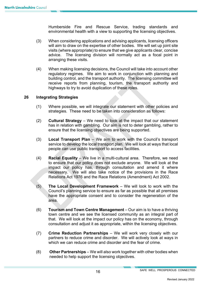Humberside Fire and Rescue Service, trading standards and environmental health with a view to supporting the licensing objectives.

- (3) When considering applications and advising applicants, licensing officers will aim to draw on the expertise of other bodies. We will set up joint site visits (where appropriate) to ensure that we give applicants clear, concise advice. The licensing division will normally act as a focal point in arranging these visits.
- (4) When making licensing decisions, the Council will take into account other regulatory regimes. We aim to work in conjunction with planning and building control, and the transport authority. The licensing committee will receive reports from planning, tourism, the transport authority and highways to try to avoid duplication of these roles.

#### **26 Integrating Strategies**

- (1) Where possible, we will integrate our statement with other policies and strategies. These need to be taken into consideration as follows:
- (2) **Cultural Strategy** We need to look at the impact that our statement has in relation with gambling. Our aim is not to deter gambling, rather to ensure that the licensing objectives are being supported.
- (3) **Local Transport Plan** We aim to work with the Council's transport service to develop the local transport plan. We will look at ways that local people can use public transport to access facilities.
- (4) **Racial Equality** We live in a multi-cultural area. Therefore, we need to ensure that our policy does not exclude anyone. We will look at the impact our policy has, through consultation and amend it where necessary. We will also take notice of the provisions in the Race Relations Act 1976 and the Race Relations (Amendment) Act 2002.
- (5) **The Local Development Framework** We will look to work with the Council's planning service to ensure as far as possible that all premises have the appropriate consent and to consider the regeneration of the area.
- (6) **Tourism and Town Centre Management** Our aim is to have a thriving town centre and we see the licensed community as an integral part of that. We will look at the impact our policy has on the economy, through consultation and adjust it as appropriate, within the licensing objectives.
- (7) **Crime Reduction Partnerships** We will work very closely with our partners to reduce crime and disorder. We will actively look at ways in which we can reduce crime and disorder and the fear of crime.
- (8) **Other Partnerships** We will also work together with other bodies when needed to help support the licensing objectives.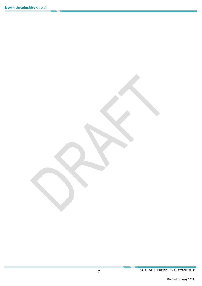SAFE WELL PROSPEROUS CONNECTED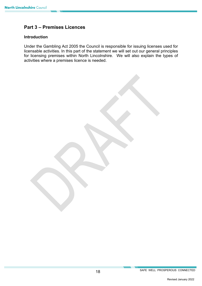## **Part 3 – Premises Licences**

#### **Introduction**

Under the Gambling Act 2005 the Council is responsible for issuing licenses used for licensable activities. In this part of the statement we will set out our general principles for licensing premises within North Lincolnshire. We will also explain the types of activities where a premises licence is needed.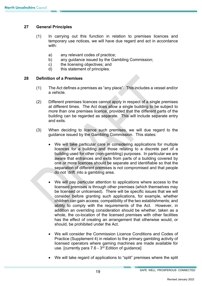#### **27 General Principles**

- (1) In carrying out this function in relation to premises licences and temporary use notices, we will have due regard and act in accordance with:
	- a) any relevant codes of practice;
	- b) any guidance issued by the Gambling Commission;
	- c) the licensing objectives; and
	- d) this statement of principles.

#### **28 Definition of a Premises**

- (1) The Act defines a premises as "any place". This includes a vessel and/or a vehicle.
- (2) Different premises licences cannot apply in respect of a single premises at different times. The Act does allow a single building to be subject to more than one premises licence, provided that the different parts of the building can be regarded as separate. This will include separate entry and exits.
- (3) When deciding to licence such premises, we will due regard to the guidance issued by the Gambling Commission. This states:
	- We will take particular care in considering applications for multiple licences for a building and those relating to a discrete part of a building used for other (non-gambling) purposes. In particular we are aware that entrances and exits from parts of a building covered by one or more licences should be separate and identifiable so that the separation of different premises is not compromised and that people do not 'drift' into a gambling area.
	- We will pay particular attention to applications where access to the licensed premises is through other premises (which themselves may be licensed or unlicensed). There will be specific issues that we will consider before granting such applications, for example, whether children can gain access; compatibility of the two establishments; and ability to comply with the requirements of the Act. However, in addition an overriding consideration should be whether, taken as a whole, the co-location of the licensed premises with other facilities has the effect of creating an arrangement that otherwise would, or should, be prohibited under the Act.
	- We will consider the Commission Licence Conditions and Codes of Practice (Supplement 4) in relation to the primary gambling activity of licensed operators where gaming machines are made available for use. [currently para  $7.6 - 3^{rd}$  Edition of guidance]
	- We will take regard of applications to "split" premises where the split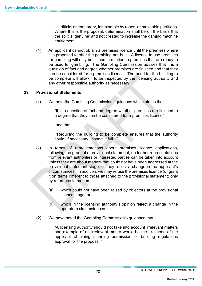is artificial or temporary, for example by ropes, or moveable partitions. Where this is the proposal, determination shall be on the basis that the split is 'genuine' and not created to increase the gaming machine entitlement

(4) An applicant cannot obtain a premises licence until the premises where it is proposed to offer the gambling are built. A licence to use premises for gambling will only be issued in relation to premises that are ready to be used for gambling. The Gambling Commission advises that it is a question of fact and degree whether premises are finished and that they can be considered for a premises licence. The need for the building to be complete will allow it to be inspected by the licensing authority and any other responsible authority as necessary.

#### **29 Provisional Statements**

(1) We note the Gambling Commissions guidance which states that:

"It is a question of fact and degree whether premises are finished to a degree that they can be considered for a premises licence"

and that

"Requiring the building to be complete ensures that the authority could, if necessary, inspect it full...".

- (2) In terms of representations about premises licence applications, following the grant of a provisional statement, no further representations from relevant authorities or interested parties can be taken into account unless they are about matters that could not have been addressed at the provisional statement stage, or they reflect a change in the applicant's circumstances. In addition, we may refuse the premises licence (or grant it on terms different to those attached to the provisional statement) only by reference to matters:
	- (a) which could not have been raised by objectors at the provisional licence stage; or
	- (b) which in the licensing authority's opinion reflect a change in the operators circumstances.
- (2) We have noted the Gambling Commission's guidance that

"A licensing authority should not take into account irrelevant matters one example of an irrelevant matter would be the likelihood of the applicant obtaining planning permission or building regulations approval for the proposal."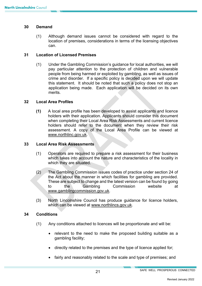#### **30 Demand**

(1) Although demand issues cannot be considered with regard to the location of premises, considerations in terms of the licensing objectives can.

#### **31 Location of Licensed Premises**

(1) Under the Gambling Commission's guidance for local authorities, we will pay particular attention to the protection of children and vulnerable people from being harmed or exploited by gambling, as well as issues of crime and disorder. If a specific policy is decided upon we will update this statement. It should be noted that such a policy does not stop an application being made. Each application will be decided on its own merits.

#### **32 Local Area Profiles**

**(1)** A local area profile has been developed to assist applicants and licence holders with their application. Applicants should consider this document when completing their Local Area Risk Assessments and current licence holders should refer to the document when they review their risk assessment. A copy of the Local Area Profile can be viewed at [www.northlinc.gov.uk.](http://www.northlinc.gov.uk/)

#### **33 Local Area Risk Assessments**

- (1) Operators are required to prepare a risk assessment for their business which takes into account the nature and characteristics of the locality in which they are situated.
- (2) The Gambling Commission issues codes of practice under section 24 of the Act about the manner in which facilities for gambling are provided. These are subject to change and the latest version can be found by going to the Gambling Commission website at [www.gamblingcommission.gov.uk.](http://www.gamblingcommission.gov.uk/)
- (3) North Lincolnshire Council has produce guidance for licence holders, which can be viewed at [www.northlincs.gov.uk.](http://www.northlincs.gov.uk/)

#### **34 Conditions**

- (1) Any conditions attached to licences will be proportionate and will be:
	- relevant to the need to make the proposed building suitable as a gambling facility;
	- directly related to the premises and the type of licence applied for;
	- fairly and reasonably related to the scale and type of premises; and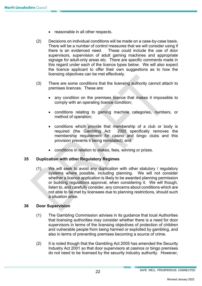- reasonable in all other respects.
- (2) Decisions on individual conditions will be made on a case-by-case basis. There will be a number of control measures that we will consider using if there is an evidenced need. These could include the use of door supervisors, supervision of adult gaming machines and appropriate signage for adult-only areas etc. There are specific comments made in this regard under each of the licence types below. We will also expect the licence applicant to offer their own suggestions as to how the licensing objectives can be met effectively.
- (3) There are some conditions that the licensing authority cannot attach to premises licences. These are:
	- any condition on the premises licence that makes it impossible to comply with an operating licence condition;
	- conditions relating to gaming machine categories, numbers, or method of operation;
	- conditions which provide that membership of a club or body is required (the Gambling Act 2005 specifically removes the membership requirement for casino and bingo clubs and this provision prevents it being reinstated); and
	- conditions in relation to stakes, fees, winning or prizes.

#### **35 Duplication with other Regulatory Regimes**

(1) We will seek to avoid any duplication with other statutory / regulatory systems where possible, including planning. We will not consider whether a licence application is likely to be awarded planning permission or building regulations approval, when considering it. We will though, listen to, and carefully consider, any concerns about conditions which are not able to be met by licensees due to planning restrictions, should such a situation arise.

#### **36 Door Supervision**

- (1) The Gambling Commission advises in its guidance that local Authorities that licensing authorities may consider whether there is a need for door supervisors in terms of the licensing objectives of protection of children and vulnerable people from being harmed or exploited by gambling, and also in terms of preventing premises becoming a source of crime.
- (2) It is noted though that the Gambling Act 2005 has amended the Security Industry Act 2001 so that door supervisors at casinos or bingo premises do not need to be licensed by the security industry authority. However,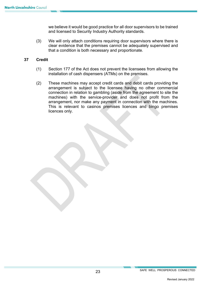we believe it would be good practice for all door supervisors to be trained and licensed to Security Industry Authority standards.

(3) We will only attach conditions requiring door supervisors where there is clear evidence that the premises cannot be adequately supervised and that a condition is both necessary and proportionate.

#### **37 Credit**

- (1) Section 177 of the Act does not prevent the licensees from allowing the installation of cash dispensers (ATMs) on the premises.
- (2) These machines may accept credit cards and debit cards providing the arrangement is subject to the licensee having no other commercial connection in relation to gambling (aside from the agreement to site the machines) with the service-provider and does not profit from the arrangement, nor make any payment in connection with the machines. This is relevant to casinos premises licences and bingo premises licences only.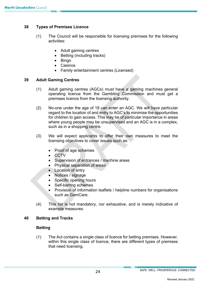#### **38 Types of Premises Licence**

- (1) The Council will be responsible for licensing premises for the following activities:
	- Adult gaming centres
	- Betting (including tracks)
	- Bingo
	- Casinos
	- Family entertainment centres (Licensed)

#### **39 Adult Gaming Centres**

- (1) Adult gaming centres (AGCs) must have a gaming machines general operating licence from the Gambling Commission and must get a premises licence from the licensing authority.
- (2) No-one under the age of 18 can enter an AGC. We will have particular regard to the location of and entry to AGC's to minimise the opportunities for children to gain access. This may be of particular importance in areas where young people may be unsupervised and an AGC is in a complex, such as in a shopping centre.
- (3) We will expect applicants to offer their own measures to meet the licensing objectives to cover issues such as:
	- Proof of age schemes
	- CCTV
	- Supervision of entrances / machine areas
	- Physical separation of areas
	- Location of entry
	- Notices / signage
	- Specific opening hours
	- Self-barring schemes
	- Provision of information leaflets / helpline numbers for organisations such as GamCare.
- (4) This list is not mandatory, nor exhaustive, and is merely indicative of example measures.

#### **40 Betting and Tracks**

#### **Betting**

(1) The Act contains a single class of licence for betting premises. However, within this single class of licence, there are different types of premises that need licensing.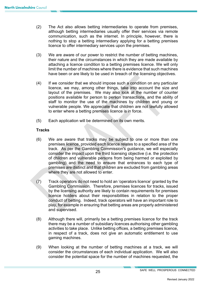- (2) The Act also allows betting intermediaries to operate from premises, although betting intermediaries usually offer their services via remote communication, such as the internet. In principle, however, there is nothing to stop a betting intermediary applying for a betting premises licence to offer intermediary services upon the premises.
- (3) We are aware of our power to restrict the number of betting machines, their nature and the circumstances in which they are made available by attaching a licence condition to a betting premises licence. We will only limit the number of machines where there is evidence that such machines have been or are likely to be used in breach of the licensing objectives.
- (4) If we consider that we should impose such a condition on any particular licence, we may, among other things, take into account the size and layout of the premises. We may also look at the number of counter positions available for person to person transactions, and the ability of staff to monitor the use of the machines by children and young or vulnerable people. We appreciate that children are not lawfully allowed to enter where a betting premises licence is in force.
- (5) Each application will be determined on its own merits.

#### **Tracks**

- (6) We are aware that tracks may be subject to one or more than one premises licence, provided each licence relates to a specified area of the track. As per the Gambling Commission's guidance, we will especially consider the impact upon the third licensing objective (i.e. the protection of children and vulnerable persons from being harmed or exploited by gambling) and the need to ensure that entrances to each type of premises are distinct and that children are excluded from gambling areas where they are not allowed to enter.
- (7) Track operators do not need to hold an 'operators licence' granted by the Gambling Commission. Therefore, premises licences for tracks, issued by the licensing authority are likely to contain requirements for premises licence holders about their responsibilities in relation to the proper conduct of betting. Indeed, track operators will have an important role to play, for example in ensuring that betting areas are properly administered and supervised.
- (8) Although there will, primarily be a betting premises licence for the track there may be a number of subsidiary licences authorising other gambling activities to take place. Unlike betting offices, a betting premises licence, in respect of a track, does not give an automatic entitlement to use gaming machines.
- (9) When looking at the number of betting machines at a track, we will consider the circumstances of each individual application. We will also consider the potential space for the number of machines requested, the

Revised January 2022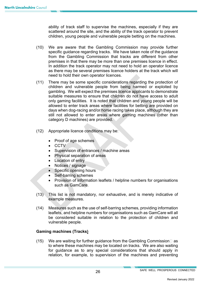ability of track staff to supervise the machines, especially if they are scattered around the site, and the ability of the track operator to prevent children, young people and vulnerable people betting on the machines.

- (10) We are aware that the Gambling Commission may provide further specific guidance regarding tracks. We have taken note of the guidance from the Gambling Commission that tracks are different from other premises in that there may be more than one premises licence in effect. In addition the track operator may not need to hold an operator licence as there may be several premises licence holders at the track which will need to hold their own operator licences.
- (11) There may be some specific considerations regarding the protection of children and vulnerable people from being harmed or exploited by gambling. We will expect the premises licence applicants to demonstrate suitable measures to ensure that children do not have access to adult only gaming facilities. It is noted that children and young people will be allowed to enter track areas where facilities for betting are provided on days when dog-racing and/or horse racing takes place, although they are still not allowed to enter areas where gaming machines (other than category D machines) are provided.
- (12) Appropriate licence conditions may be:
	- Proof of age schemes
	- CCTV
	- Supervision of entrances / machine areas
	- Physical separation of areas
	- Location of entry
	- Notices / signage
	- Specific opening hours
	- Self-barring schemes
	- Provision of information leaflets / helpline numbers for organisations such as GamCare.
- (13) This list is not mandatory, nor exhaustive, and is merely indicative of example measures.
- (14) Measures such as the use of self-barring schemes, providing information leaflets, and helpline numbers for organisations such as GamCare will all be considered suitable in relation to the protection of children and vulnerable people.

#### **Gaming machines (Tracks)**

(15) We are waiting for further guidance from the Gambling Commission  $\Box$  as to where these machines may be located on tracks. We are also waiting for guidance as to any special considerations that should apply in relation, for example, to supervision of the machines and preventing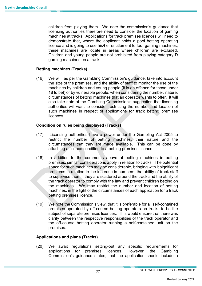children from playing them. We note the commission's guidance that licensing authorities therefore need to consider the location of gaming machines at tracks. Applications for track premises licences will need to demonstrate that, where the applicant holds a pool betting operating licence and is going to use his/her entitlement to four gaming machines, these machines are locate in areas where children are excluded. Children and young people are not prohibited from playing category D gaming machines on a track.

#### **Betting machines (Tracks)**

(16) We will, as per the Gambling Commission's guidance, take into account the size of the premises, and the ability of staff to monitor the use of the machines by children and young people (it is an offence for those under 18 to bet) or by vulnerable people, when considering the number, nature, circumstances of betting machines that an operator wants to offer. It will also take note of the Gambling Commission's suggestion that licensing authorities will want to consider restricting the number and location of such machines in respect of applications for track betting premises licences.

#### **Condition on rules being displayed (Tracks)**

- (17) Licensing authorities have a power under the Gambling Act 2005 to restrict the number of betting machines, their nature and the circumstances that they are made available. This can be done by attaching a licence condition to a betting premises licence.
- (18) In addition to the comments above at betting machines in betting premises, similar considerations apply in relation to tracks. The potential space for such machines may be considerable, bringing with it significant problems in relation to the increase in numbers, the ability of track staff to supervise them if they are scattered around the track and the ability of the track operator to comply with the law and prevent children betting on the machines. We may restrict the number and location of betting machines, in the light of the circumstances of each application for a track betting premises licence.
- (19) We note the Commission's view, that it is preferable for all self-contained premises operated by off-course betting operators on tracks to be the subject of separate premises licences. This would ensure that there was clarity between the respective responsibilities of the track operator and the off-course betting operator running a self-contained unit on the premises.

#### **Applications and plans (Tracks)**

(20) We await regulations setting-out any specific requirements for applications for premises licences. However, the Gambling Commission's guidance states, that the application should include a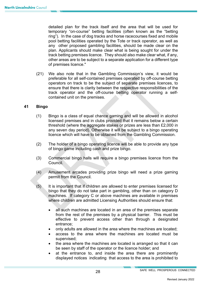detailed plan for the track itself and the area that will be used for temporary "on-course" betting facilities (often known as the "betting ring"). In the case of dog tracks and horse racecourses fixed and mobile pool betting facilities operated by the Tote or track operator, as well as any other proposed gambling facilities, should be made clear on the plan. Applicants should make clear what is being sought for under the track betting premises licence. They should also make clear what, if any, other areas are to be subject to a separate application for a different type of premises licence."

(21) We also note that in the Gambling Commission's view, it would be preferable for all self-contained premises operated by off-course betting operators on track to be the subject of separate premises licences, to ensure that there is clarity between the respective responsibilities of the track operator and the off-course betting operator running a selfcontained unit on the premises.

#### **41 Bingo**

- (1) Bingo is a class of equal chance gaming and will be allowed in alcohol licensed premises and in clubs provided that it remains below a certain threshold (where the aggregate stakes or prizes are less than £2,000 in any seven day period). Otherwise it will be subject to a bingo operating licence which will have to be obtained from the Gambling Commission.
- (2) The holder of a bingo operating licence will be able to provide any type of bingo game including cash and prize bingo.
- (3) Commercial bingo halls will require a bingo premises licence from the Council.
- (4) Amusement arcades providing prize bingo will need a prize gaming permit from the Council.
- (5) It is important that if children are allowed to enter premises licensed for bingo that they do not take part in gambling, other than on category D machines. If category C or above machines are available in premises where children are admitted Licensing Authorities should ensure that:
	- all such machines are located in an area of the premises separate from the rest of the premises by a physical barrier. This must be effective to prevent access other than through a designated entrance;
	- only adults are allowed in the area where the machines are located;
	- access to the area where the machines are located must be supervised;
	- the area where the machines are located is arranged so that it can be seen by staff of the operator or the licence holder; and
	- at the entrance to, and inside the area there are prominently displayed notices indicating that access to the area is prohibited to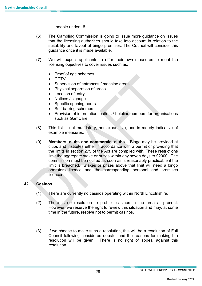people under 18.

- (6) The Gambling Commission is going to issue more guidance on issues that the licensing authorities should take into account in relation to the suitability and layout of bingo premises. The Council will consider this guidance once it is made available.
- (7) We will expect applicants to offer their own measures to meet the licensing objectives to cover issues such as:
	- Proof of age schemes
	- CCTV
	- Supervision of entrances / machine areas
	- Physical separation of areas
	- Location of entry
	- Notices / signage
	- Specific opening hours
	- Self-barring schemes
	- Provision of information leaflets / helpline numbers for organisations such as GamCare.
- (8) This list is not mandatory, nor exhaustive, and is merely indicative of example measures.
- (9) **Members' clubs and commercial clubs** Bingo may be provided at clubs and institutes either in accordance with a permit or providing that the limits in section 275 of the Act are complied with. These restrictions limit the aggregate stake or prizes within any seven days to £2000. The commission must be notified as soon as is reasonably practicable if the limit is breached. Stakes or prizes above that limit will need a bingo operators licence and the corresponding personal and premises licences.

#### **42 Casinos**

- (1) There are currently no casinos operating within North Lincolnshire.
- (2) There is no resolution to prohibit casinos in the area at present. However, we reserve the right to review this situation and may, at some time in the future, resolve not to permit casinos.
- (3) If we choose to make such a resolution, this will be a resolution of Full Council following considered debate, and the reasons for making the resolution will be given. There is no right of appeal against this resolution.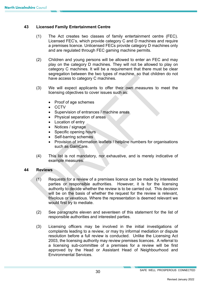#### **43 Licensed Family Entertainment Centre**

- (1) The Act creates two classes of family entertainment centre (FEC). Licensed FEC's, which provide category C and D machines and require a premises licence. Unlicensed FECs provide category D machines only and are regulated through FEC gaming machine permits.
- (2) Children and young persons will be allowed to enter an FEC and may play on the category D machines. They will not be allowed to play on category C machines. It will be a requirement that there must be clear segregation between the two types of machine, so that children do not have access to category C machines.
- (3) We will expect applicants to offer their own measures to meet the licensing objectives to cover issues such as:
	- Proof of age schemes
	- CCTV
	- Supervision of entrances / machine areas
	- Physical separation of areas
	- Location of entry
	- Notices / signage
	- Specific opening hours
	- Self-barring schemes
	- Provision of information leaflets / helpline numbers for organisations such as GamCare.
- (4) This list is not mandatory, nor exhaustive, and is merely indicative of example measures.

#### **44 Reviews**

- (1) Requests for a review of a premises licence can be made by interested parties or responsible authorities. However, it is for the licensing authority to decide whether the review is to be carried out. This decision will be on the basis of whether the request for the review is relevant, frivolous or vexatious. Where the representation is deemed relevant we would first try to mediate.
- (2) See paragraphs eleven and seventeen of this statement for the list of responsible authorities and interested parties.
- (3) Licensing officers may be involved in the initial investigations of complaints leading to a review, or may try informal mediation or dispute resolution before a full review is conducted. Unlike the Licensing Act 2003, the licensing authority may review premises licences. A referral to a licensing sub-committee of a premises for a review will be first approved by the Head or Assistant Head of Neighbourhood and Environmental Services.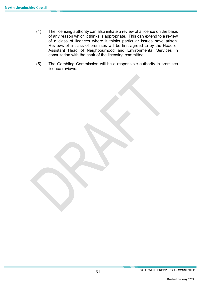- (4) The licensing authority can also initiate a review of a licence on the basis of any reason which it thinks is appropriate. This can extend to a review of a class of licences where it thinks particular issues have arisen. Reviews of a class of premises will be first agreed to by the Head or Assistant Head of Neighbourhood and Environmental Services in consultation with the chair of the licensing committee.
- (5) The Gambling Commission will be a responsible authority in premises licence reviews.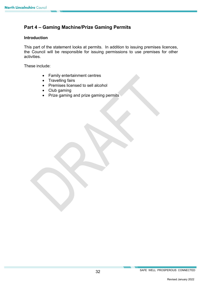## **Part 4 – Gaming Machine/Prize Gaming Permits**

#### **Introduction**

This part of the statement looks at permits. In addition to issuing premises licences, the Council will be responsible for issuing permissions to use premises for other activities.

These include:

- Family entertainment centres
- Travelling fairs
- Premises licensed to sell alcohol
- Club gaming
- Prize gaming and prize gaming permits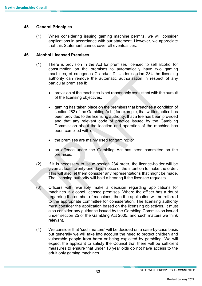#### **45 General Principles**

(1) When considering issuing gaming machine permits, we will consider applications in accordance with our statement. However, we appreciate that this Statement cannot cover all eventualities.

#### **46 Alcohol Licensed Premises**

- (1) There is provision in the Act for premises licensed to sell alcohol for consumption on the premises to automatically have two gaming machines, of categories C and/or D. Under section 284 the licensing authority can remove the automatic authorisation in respect of any particular premises if:
	- provision of the machines is not reasonably consistent with the pursuit of the licensing objectives;
	- gaming has taken place on the premises that breaches a condition of section 282 of the Gambling Act, ( for example, that written notice has been provided to the licensing authority, that a fee has been provided and that any relevant code of practice issued by the Gambling Commission about the location and operation of the machine has been complied with);
	- the premises are mainly used for gaming; or
	- an offence under the Gambling Act has been committed on the premises.
- (2) If it is necessary to issue section 284 order, the licence-holder will be given at least twenty-one days' notice of the intention to make the order. This will also let them consider any representations that might be made. The licensing authority will hold a hearing if the licensee requests.
- (3) Officers will invariably make a decision regarding applications for machines in alcohol licensed premises. Where the officer has a doubt regarding the number of machines, then the application will be referred to the appropriate committee for consideration. The licensing authority must consider the application based on the licensing objectives. It must also consider any guidance issued by the Gambling Commission issued under section 25 of the Gambling Act 2005, and such matters we think relevant.
- (4) We consider that 'such matters' will be decided on a case-by-case basis but generally we will take into account the need to protect children and vulnerable people from harm or being exploited by gambling. We will expect the applicant to satisfy the Council that there will be sufficient measures to ensure that under 18 year olds do not have access to the adult only gaming machines.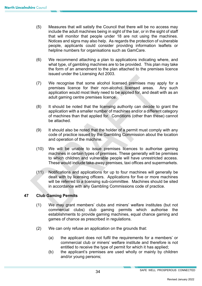- (5) Measures that will satisfy the Council that there will be no access may include the adult machines being in sight of the bar, or in the sight of staff that will monitor that people under 18 are not using the machines. Notices and signs may also help. As regards the protection of vulnerable people, applicants could consider providing information leaflets or helpline numbers for organisations such as GamCare.
- (6) We recommend attaching a plan to applications indicating where, and what type, of gambling machines are to be provided. This plan may take the form of an amendment to the plan attached to the premises licence issued under the Licensing Act 2003.
- (7) We recognise that some alcohol licensed premises may apply for a premises licence for their non-alcohol licensed areas. Any such application would most likely need to be applied for, and dealt with as an adult gaming centre premises licence.
- (8) It should be noted that the licensing authority can decide to grant the application with a smaller number of machines and/or a different category of machines than that applied for. Conditions (other than these) cannot be attached.
- (9) It should also be noted that the holder of a permit must comply with any code of practice issued by the Gambling Commission about the location and operation of the machine.
- (10) We will be unable to issue premises licences to authorise gaming machines in certain types of premises. These generally will be premises to which children and vulnerable people will have unrestricted access. These would include take-away premises, taxi offices and supermarkets.
- (11) Notifications and applications for up to four machines will generally be dealt with by licensing officers. Applications for five or more machines will be referred to a licensing sub-committee. Machines should be sited in accordance with any Gambling Commissions code of practice.

#### **47 Club Gaming Permits**

- (1) We may grant members' clubs and miners' welfare institutes (but not commercial clubs) club gaming permits which authorise the establishments to provide gaming machines, equal chance gaming and games of chance as prescribed in regulations.
- (2) We can only refuse an application on the grounds that:
	- (a) the applicant does not fulfil the requirements for a members' or commercial club or miners' welfare institute and therefore is not entitled to receive the type of permit for which it has applied;
	- (b) the applicant's premises are used wholly or mainly by children and/or young persons;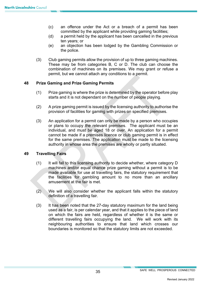- (c) an offence under the Act or a breach of a permit has been committed by the applicant while providing gaming facilities;
- (d) a permit held by the applicant has been cancelled in the previous ten years; or
- (e) an objection has been lodged by the Gambling Commission or the police.
- (3) Club gaming permits allow the provision of up to three gaming machines. These may be from categories B, C or D. The club can choose the combination of machines on its premises. We may grant or refuse a permit, but we cannot attach any conditions to a permit.

#### **48 Prize Gaming and Prize Gaming Permits**

- (1) Prize gaming is where the prize is determined by the operator before play starts and it is not dependant on the number of people playing.
- (2) A prize gaming permit is issued by the licensing authority to authorise the provision of facilities for gaming with prizes on specified premises.
- (3) An application for a permit can only be made by a person who occupies or plans to occupy the relevant premises. The applicant must be an individual, and must be aged 18 or over. An application for a permit cannot be made if a premises licence or club gaming permit is in effect for the same premises. The application must be made to the licensing authority in whose area the premises are wholly or partly situated.

#### **49 Travelling Fairs**

- (1) It will fall to this licensing authority to decide whether, where category D machines and/or equal chance prize gaming without a permit is to be made available for use at travelling fairs, the statutory requirement that the facilities for gambling amount to no more than an ancillary amusement at the fair is met.
- (2) We will also consider whether the applicant falls within the statutory definition of a travelling fair.
- (3) It has been noted that the 27-day statutory maximum for the land being used as a fair, is per calendar year, and that it applies to the piece of land on which the fairs are held, regardless of whether it is the same or different travelling fairs occupying the land. We will work with its neighbouring authorities to ensure that land which crosses our boundaries is monitored so that the statutory limits are not exceeded.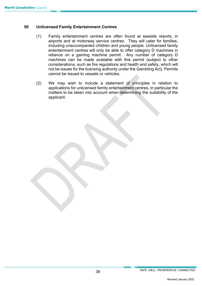#### **50 Unlicensed Family Entertainment Centres**

- (1) Family entertainment centres are often found at seaside resorts, in airports and at motorway service centres. They will cater for families, including unaccompanied children and young people. Unlicensed family entertainment centres will only be able to offer category D machines in reliance on a gaming machine permit. Any number of category D machines can be made available with this permit (subject to other considerations, such as fire regulations and health and safety, which will not be issues for the licensing authority under the Gambling Act). Permits cannot be issued to vessels or vehicles.
- (2) We may wish to include a statement of principles in relation to applications for unlicensed family entertainment centres, in particular the matters to be taken into account when determining the suitability of the applicant.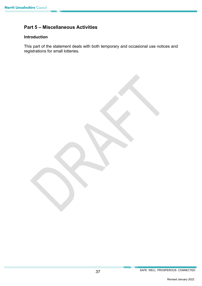## **Part 5 – Miscellaneous Activities**

#### **Introduction**

This part of the statement deals with both temporary and occasional use notices and registrations for small lotteries.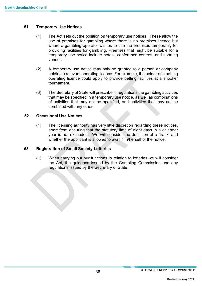#### **51 Temporary Use Notices**

- (1) The Act sets out the position on temporary use notices. These allow the use of premises for gambling where there is no premises licence but where a gambling operator wishes to use the premises temporarily for providing facilities for gambling. Premises that might be suitable for a temporary use notice include hotels, conference centres, and sporting venues.
- (2) A temporary use notice may only be granted to a person or company holding a relevant operating licence. For example, the holder of a betting operating licence could apply to provide betting facilities at a snooker tournament.
- (3) The Secretary of State will prescribe in regulations the gambling activities that may be specified in a temporary use notice, as well as combinations of activities that may not be specified, and activities that may not be combined with any other.

#### **52 Occasional Use Notices**

(1) The licensing authority has very little discretion regarding these notices, apart from ensuring that the statutory limit of eight days in a calendar year is not exceeded. We will consider the definition of a 'track' and whether the applicant is allowed to avail him/herself of the notice.

#### **53 Registration of Small Society Lotteries**

(1) When carrying out our functions in relation to lotteries we will consider the Act, the guidance issued by the Gambling Commission and any regulations issued by the Secretary of State.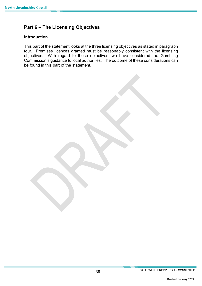## **Part 6 – The Licensing Objectives**

#### **Introduction**

This part of the statement looks at the three licensing objectives as stated in paragraph four. Premises licences granted must be reasonably consistent with the licensing objectives. With regard to these objectives, we have considered the Gambling Commission's guidance to local authorities. The outcome of these considerations can be found in this part of the statement.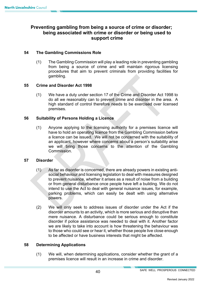### **Preventing gambling from being a source of crime or disorder; being associated with crime or disorder or being used to support crime**

#### **54 The Gambling Commissions Role**

(1) The Gambling Commission will play a leading role in preventing gambling from being a source of crime and will maintain rigorous licensing procedures that aim to prevent criminals from providing facilities for gambling.

#### **55 Crime and Disorder Act 1998**

(1) We have a duty under section 17 of the Crime and Disorder Act 1998 to do all we reasonably can to prevent crime and disorder in the area. A high standard of control therefore needs to be exercised over licensed premises.

#### **56 Suitability of Persons Holding a Licence**

(1) Anyone applying to the licensing authority for a premises licence will have to hold an operating licence from the Gambling Commission before a licence can be issued. We will not be concerned with the suitability of an applicant, however where concerns about a person's suitability arise we will bring those concerns to the attention of the Gambling **Commission** 

#### **57 Disorder**

- (1) As far as disorder is concerned, there are already powers in existing antisocial behaviour and licensing legislation to deal with measures designed to prevent nuisance, whether it arises as a result of noise from a building or from general disturbance once people have left a building. We do not intend to use the Act to deal with general nuisance issues, for example, parking problems, which can easily be dealt with using alternative powers.
- (2) We will only seek to address issues of disorder under the Act if the disorder amounts to an activity, which is more serious and disruptive than mere nuisance. A disturbance could be serious enough to constitute disorder if police assistance was needed to deal with it. Another factor we are likely to take into account is how threatening the behaviour was to those who could see or hear it, whether those people live close enough to be affected or have business interests that might be affected.

#### **58 Determining Applications**

(1) We will, when determining applications, consider whether the grant of a premises licence will result in an increase in crime and disorder.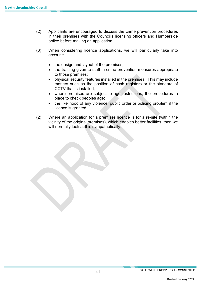- (2) Applicants are encouraged to discuss the crime prevention procedures in their premises with the Council's licensing officers and Humberside police before making an application.
- (3) When considering licence applications, we will particularly take into account:
	- the design and layout of the premises;
	- the training given to staff in crime prevention measures appropriate to those premises;
	- physical security features installed in the premises. This may include matters such as the position of cash registers or the standard of CCTV that is installed;
	- where premises are subject to age restrictions, the procedures in place to check peoples age;
	- the likelihood of any violence, public order or policing problem if the licence is granted.
- (2) Where an application for a premises licence is for a re-site (within the vicinity of the original premises), which enables better facilities, then we will normally look at this sympathetically.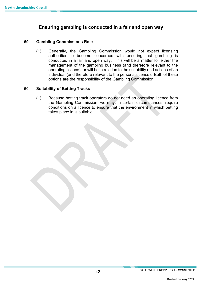### **Ensuring gambling is conducted in a fair and open way**

#### **59 Gambling Commissions Role**

(1) Generally, the Gambling Commission would not expect licensing authorities to become concerned with ensuring that gambling is conducted in a fair and open way. This will be a matter for either the management of the gambling business (and therefore relevant to the operating licence), or will be in relation to the suitability and actions of an individual (and therefore relevant to the personal licence). Both of these options are the responsibility of the Gambling Commission.

#### **60 Suitability of Betting Tracks**

(1) Because betting track operators do not need an operating licence from the Gambling Commission, we may, in certain circumstances, require conditions on a licence to ensure that the environment in which betting takes place in is suitable.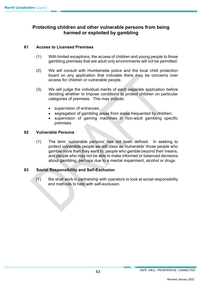## **Protecting children and other vulnerable persons from being harmed or exploited by gambling**

#### **61 Access to Licensed Premises**

- (1) With limited exceptions, the access of children and young people to those gambling premises that are adult only environments will not be permitted.
- (2) We will consult with Humberside police and the local child protection board on any application that indicates there may be concerns over access for children or vulnerable people.
- (3) We will judge the individual merits of each separate application before deciding whether to impose conditions to protect children on particular categories of premises. This may include:
	- supervision of entrances;
	- segregation of gambling areas from areas frequented by children;
	- supervision of gaming machines in non-adult gambling specific premises.

#### **62 Vulnerable Persons**

(1) The term 'vulnerable persons' has not been defined. In seeking to protect vulnerable people we will class as 'vulnerable' those people who gamble more than they want to, people who gamble beyond their means, and people who may not be able to make informed or balanced decisions about gambling, perhaps due to a mental impairment, alcohol or drugs.

#### **63 Social Responsibility and Self-Exclusion**

(1) We shall work in partnership with operators to look at social responsibility and methods to help with self-exclusion.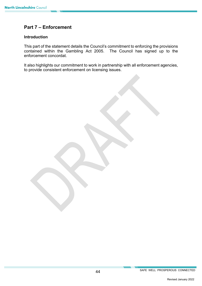## **Part 7 – Enforcement**

#### **Introduction**

This part of the statement details the Council's commitment to enforcing the provisions contained within the Gambling Act 2005. The Council has signed up to the enforcement concordat.

It also highlights our commitment to work in partnership with all enforcement agencies, to provide consistent enforcement on licensing issues.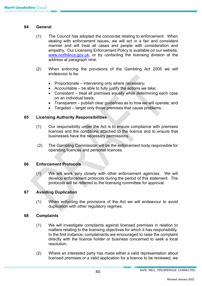#### **64 General**

- (1) The Council has adopted the concordat relating to enforcement. When dealing with enforcement issues, we will act in a fair and consistent manner and will treat all cases and people with consideration and empathy. Our Licensing Enforcement Policy is available on our website, [www.northlincs.gov.uk,](http://www.northlincs.gov.uk/) or by contacting the licensing division at the address at paragraph nine.
- (2) When enforcing the provisions of the Gambling Act 2005 we will endeavour to be:
	- Proportionate intervening only where necessary;
	- Accountable be able to fully justify the actions we take:
	- Consistent treat all premises equally while determining each case on an individual basis;
	- Transparent publish clear guidelines as to how we will operate; and
	- Targeted target only those premises that cause problems.

#### **65 Licensing Authority Responsibilities**

- (1) Our responsibility under the Act is to ensure compliance with premises licences and the conditions attached to the licence and to ensure that businesses have the necessary permissions.
- (2) The Gambling Commission will be the enforcement body responsible for operating licences and personal licences.

#### **66 Enforcement Protocols**

(1) We will work very closely with other enforcement agencies. We will develop enforcement protocols during the period of this statement. The protocols will be referred to the licensing committee for approval.

#### **67 Avoiding Duplication**

(1) When enforcing the provisions of the Act we will endeavour to avoid duplication with other regulatory regimes.

#### **68 Complaints**

- (1) We will investigate complaints against licensed premises in relation to matters relating to the licensing objectives for which it has responsibility. In the first instance, complainants are encouraged to raise the complaint directly with the licence holder or business concerned to seek a local resolution.
- (2) Where an interested party has made either a valid representation about licensed premises or a valid application for a licence to be reviewed, we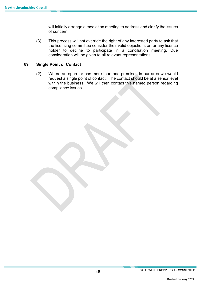will initially arrange a mediation meeting to address and clarify the issues of concern.

(3) This process will not override the right of any interested party to ask that the licensing committee consider their valid objections or for any licence holder to decline to participate in a conciliation meeting. Due consideration will be given to all relevant representations.

#### **69 Single Point of Contact**

(2) Where an operator has more than one premises in our area we would request a single point of contact. The contact should be at a senior level within the business. We will then contact this named person regarding compliance issues.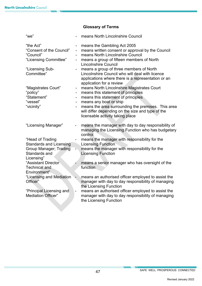## **Glossary of Terms**

| "we"                                                                                                                                                       |                                                                         | means North Lincolnshire Council                                                                                                                                                                                                                                                                                                                                                |
|------------------------------------------------------------------------------------------------------------------------------------------------------------|-------------------------------------------------------------------------|---------------------------------------------------------------------------------------------------------------------------------------------------------------------------------------------------------------------------------------------------------------------------------------------------------------------------------------------------------------------------------|
| "the Act"<br>"Consent of the Council"<br>"Council"<br>"Licensing Committee"<br>"Licensing Sub-<br>Committee"                                               | $\overline{\phantom{0}}$<br>-                                           | means the Gambling Act 2005<br>means written consent or approval by the Council<br>means North Lincolnshire Council<br>means a group of fifteen members of North<br><b>Lincolnshire Council</b><br>means a group of three members of North<br>Lincolnshire Council who will deal with licence<br>applications where there is a representation or an<br>application for a review |
| "Magistrates Court"<br>"policy"<br>"Statement"<br>"vessel"<br>"vicinity"                                                                                   | $\overline{\phantom{0}}$<br>-<br>-<br>۰<br>$\qquad \qquad \blacksquare$ | means North Lincolnshire Magistrates Court<br>means this statement of principles<br>means this statement of principles<br>means any boat or ship<br>means the area surrounding the premises. This area<br>will differ depending on the size and type of the<br>licensable activity taking place                                                                                 |
| "Licensing Manager"                                                                                                                                        |                                                                         | means the manager with day to day responsibility of<br>managing the Licensing Function who has budgetary<br>control                                                                                                                                                                                                                                                             |
| "Head of Trading<br><b>Standards and Licensing</b><br>Group Manager; Trading<br>Standards and<br>Licensing"<br>"Assistant Director<br><b>Technical and</b> |                                                                         | means the manager with responsibility for the<br><b>Licensing Function</b><br>means the manager with responsibility for the<br><b>Licensing Function</b><br>means a senior manager who has oversight of the<br>function                                                                                                                                                         |
| Environment"<br>"Licensing and Mediation<br>Officer"<br>"Principal Licensing and<br><b>Mediation Officer"</b>                                              | $\blacksquare$                                                          | means an authorised officer employed to assist the<br>manager with day to day responsibility of managing<br>the Licensing Function<br>means an authorised officer employed to assist the<br>manager with day to day responsibility of managing<br>the Licensing Function                                                                                                        |

Revised January 2022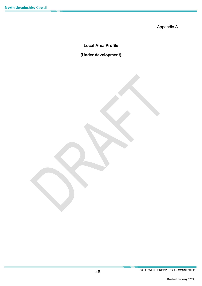Appendix A

**Local Area Profile**

**(Under development)**